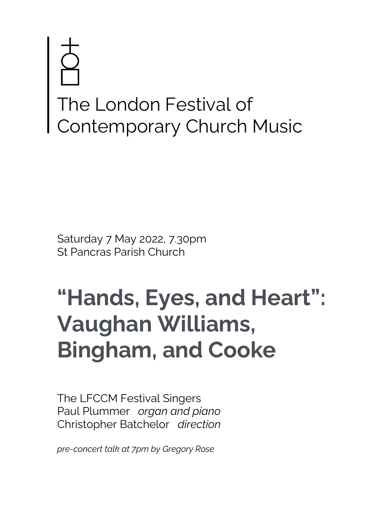# The London Festival of Contemporary Church Music

Saturday 7 May 2022, 7.30pm St Pancras Parish Church

# **"Hands, Eyes, and Heart": Vaughan Williams, Bingham, and Cooke**

The LFCCM Festival Singers Paul Plummer *organ and piano* Christopher Batchelor *direction*

*pre-concert talk at 7pm by Gregory Rose*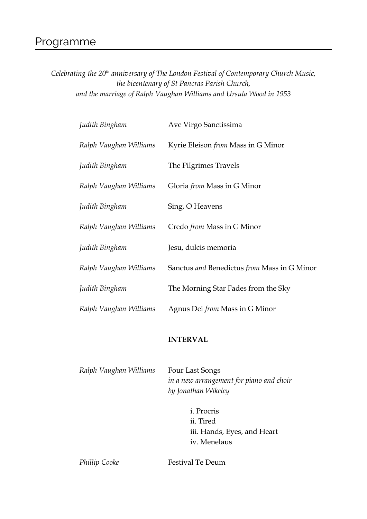# Programme

*Celebrating the 20th anniversary of The London Festival of Contemporary Church Music, the bicentenary of St Pancras Parish Church, and the marriage of Ralph Vaughan Williams and Ursula Wood in 1953*

| Judith Bingham         | Ave Virgo Sanctissima                       |
|------------------------|---------------------------------------------|
| Ralph Vaughan Williams | Kyrie Eleison from Mass in G Minor          |
| Judith Bingham         | The Pilgrimes Travels                       |
| Ralph Vaughan Williams | Gloria <i>from</i> Mass in G Minor          |
| Judith Bingham         | Sing, O Heavens                             |
| Ralph Vaughan Williams | Credo from Mass in G Minor                  |
| Judith Bingham         | Jesu, dulcis memoria                        |
| Ralph Vaughan Williams | Sanctus and Benedictus from Mass in G Minor |
| Judith Bingham         | The Morning Star Fades from the Sky         |
| Ralph Vaughan Williams | Agnus Dei from Mass in G Minor              |

#### **INTERVAL**

| Ralph Vaughan Williams | Four Last Songs                          |
|------------------------|------------------------------------------|
|                        | in a new arrangement for piano and choir |
|                        | by Jonathan Wikeley                      |

i. Procris ii. Tired iii. Hands, Eyes, and Heart iv. Menelaus

**Phillip Cooke Festival Te Deum**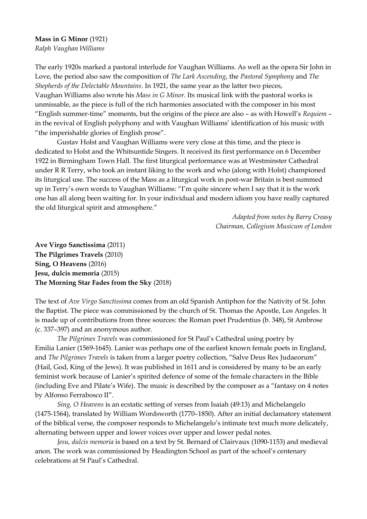#### **Mass in G Minor** (1921)

*Ralph Vaughan Williams*

The early 1920s marked a pastoral interlude for Vaughan Williams. As well as the opera Sir John in Love, the period also saw the composition of *The Lark Ascending*, the *Pastoral Symphony* and *The Shepherds of the Delectable Mountains*. In 1921, the same year as the latter two pieces, Vaughan Williams also wrote his *Mass in G Minor*. Its musical link with the pastoral works is unmissable, as the piece is full of the rich harmonies associated with the composer in his most "English summer-time" moments, but the origins of the piece are also – as with Howell's *Requiem* – in the revival of English polyphony and with Vaughan Williams' identification of his music with "the imperishable glories of English prose".

Gustav Holst and Vaughan Williams were very close at this time, and the piece is dedicated to Holst and the Whitsuntide Singers. It received its first performance on 6 December 1922 in Birmingham Town Hall. The first liturgical performance was at Westminster Cathedral under R R Terry, who took an instant liking to the work and who (along with Holst) championed its liturgical use. The success of the Mass as a liturgical work in post-war Britain is best summed up in Terry's own words to Vaughan Williams: "I'm quite sincere when I say that it is the work one has all along been waiting for. In your individual and modern idiom you have really captured the old liturgical spirit and atmosphere."

> *Adapted from notes by Barry Creasy Chairman, Collegium Musicum of London*

**Ave Virgo Sanctissima** (2011) **The Pilgrimes Travels** (2010) **Sing, O Heavens** (2016) **Jesu, dulcis memoria** (2015) **The Morning Star Fades from the Sky** (2018)

The text of *Ave Virgo Sanctissima* comes from an old Spanish Antiphon for the Nativity of St. John the Baptist. The piece was commissioned by the church of St. Thomas the Apostle, Los Angeles. It is made up of contributions from three sources: the Roman poet Prudentius (b. 348), St Ambrose (c. 337–397) and an anonymous author.

*The Pilgrimes Travels* was commissioned for St Paul's Cathedral using poetry by Emilia Lanier (1569-1645). Lanier was perhaps one of the earliest known female poets in England, and *The Pilgrimes Travels* is taken from a larger poetry collection, "Salve Deus Rex Judaeorum" (Hail, God, King of the Jews). It was published in 1611 and is considered by many to be an early feminist work because of Lanier's spirited defence of some of the female characters in the Bible (including Eve and Pilate's Wife). The music is described by the composer as a "fantasy on 4 notes by Alfonso Ferrabosco II".

*Sing, O Heavens* is an ecstatic setting of verses from Isaiah (49:13) and Michelangelo (1475-1564), translated by William Wordsworth (1770–1850). After an initial declamatory statement of the biblical verse, the composer responds to Michelangelo's intimate text much more delicately, alternating between upper and lower voices over upper and lower pedal notes.

*Jesu, dulcis memoria* is based on a text by St. Bernard of Clairvaux (1090-1153) and medieval anon. The work was commissioned by Headington School as part of the school's centenary celebrations at St Paul's Cathedral.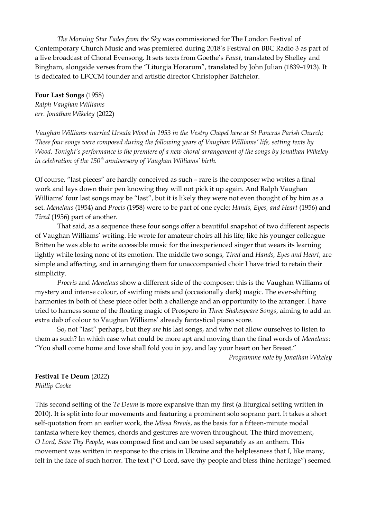*The Morning Star Fades from the Sky* was commissioned for The London Festival of Contemporary Church Music and was premiered during 2018's Festival on BBC Radio 3 as part of a live broadcast of Choral Evensong. It sets texts from Goethe's *Faust*, translated by Shelley and Bingham, alongside verses from the "Liturgia Horarum", translated by John Julian (1839–1913). It is dedicated to LFCCM founder and artistic director Christopher Batchelor.

#### **Four Last Songs** (1958)

*Ralph Vaughan Williams arr. Jonathan Wikeley* (2022)

*Vaughan Williams married Ursula Wood in 1953 in the Vestry Chapel here at St Pancras Parish Church; These four songs were composed during the following years of Vaughan Williams' life, setting texts by Wood. Tonight's performance is the premiere of a new choral arrangement of the songs by Jonathan Wikeley in celebration of the 150th anniversary of Vaughan Williams' birth.* 

Of course, "last pieces" are hardly conceived as such – rare is the composer who writes a final work and lays down their pen knowing they will not pick it up again. And Ralph Vaughan Williams' four last songs may be "last", but it is likely they were not even thought of by him as a set. *Menelaus* (1954) and *Procis* (1958) were to be part of one cycle; *Hands, Eyes, and Heart* (1956) and *Tired* (1956) part of another.

That said, as a sequence these four songs offer a beautiful snapshot of two different aspects of Vaughan Williams' writing. He wrote for amateur choirs all his life; like his younger colleague Britten he was able to write accessible music for the inexperienced singer that wears its learning lightly while losing none of its emotion. The middle two songs, *Tired* and *Hands, Eyes and Heart*, are simple and affecting, and in arranging them for unaccompanied choir I have tried to retain their simplicity.

*Procris* and *Menelaus* show a different side of the composer: this is the Vaughan Williams of mystery and intense colour, of swirling mists and (occasionally dark) magic. The ever-shifting harmonies in both of these piece offer both a challenge and an opportunity to the arranger. I have tried to harness some of the floating magic of Prospero in *Three Shakespeare Songs*, aiming to add an extra dab of colour to Vaughan Williams' already fantastical piano score.

So, not "last" perhaps, but they *are* his last songs, and why not allow ourselves to listen to them as such? In which case what could be more apt and moving than the final words of *Menelaus*: "You shall come home and love shall fold you in joy, and lay your heart on her Breast."

*Programme note by Jonathan Wikeley*

#### **Festival Te Deum** (2022)

*Phillip Cooke*

This second setting of the *Te Deum* is more expansive than my first (a liturgical setting written in 2010). It is split into four movements and featuring a prominent solo soprano part. It takes a short self-quotation from an earlier work, the *Missa Brevis*, as the basis for a fifteen-minute modal fantasia where key themes, chords and gestures are woven throughout. The third movement, *O Lord, Save Thy People*, was composed first and can be used separately as an anthem. This movement was written in response to the crisis in Ukraine and the helplessness that I, like many, felt in the face of such horror. The text ("O Lord, save thy people and bless thine heritage") seemed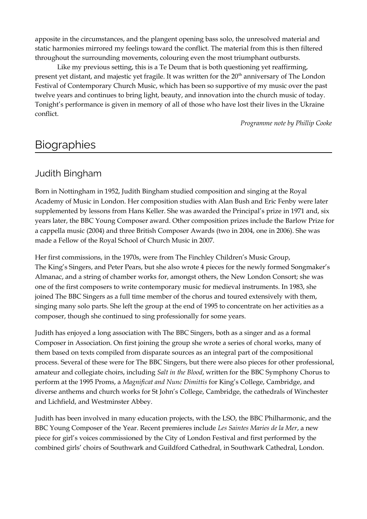apposite in the circumstances, and the plangent opening bass solo, the unresolved material and static harmonies mirrored my feelings toward the conflict. The material from this is then filtered throughout the surrounding movements, colouring even the most triumphant outbursts.

Like my previous setting, this is a Te Deum that is both questioning yet reaffirming, present yet distant, and majestic yet fragile. It was written for the 20<sup>th</sup> anniversary of The London Festival of Contemporary Church Music, which has been so supportive of my music over the past twelve years and continues to bring light, beauty, and innovation into the church music of today. Tonight's performance is given in memory of all of those who have lost their lives in the Ukraine conflict.

*Programme note by Phillip Cooke*

# **Biographies**

### Judith Bingham

Born in Nottingham in 1952, Judith Bingham studied composition and singing at the Royal Academy of Music in London. Her composition studies with Alan Bush and Eric Fenby were later supplemented by lessons from Hans Keller. She was awarded the Principal's prize in 1971 and, six years later, the BBC Young Composer award. Other composition prizes include the Barlow Prize for a cappella music (2004) and three British Composer Awards (two in 2004, one in 2006). She was made a Fellow of the Royal School of Church Music in 2007.

Her first commissions, in the 1970s, were from The Finchley Children's Music Group, The King's Singers, and Peter Pears, but she also wrote 4 pieces for the newly formed Songmaker's Almanac, and a string of chamber works for, amongst others, the New London Consort; she was one of the first composers to write contemporary music for medieval instruments. In 1983, she joined The BBC Singers as a full time member of the chorus and toured extensively with them, singing many solo parts. She left the group at the end of 1995 to concentrate on her activities as a composer, though she continued to sing professionally for some years.

Judith has enjoyed a long association with The BBC Singers, both as a singer and as a formal Composer in Association. On first joining the group she wrote a series of choral works, many of them based on texts compiled from disparate sources as an integral part of the compositional process. Several of these were for The BBC Singers, but there were also pieces for other professional, amateur and collegiate choirs, including *Salt in the Blood*, written for the BBC Symphony Chorus to perform at the 1995 Proms, a *Magnificat and Nunc Dimittis* for King's College, Cambridge, and diverse anthems and church works for St John's College, Cambridge, the cathedrals of Winchester and Lichfield, and Westminster Abbey.

Judith has been involved in many education projects, with the LSO, the BBC Philharmonic, and the BBC Young Composer of the Year. Recent premieres include *Les Saintes Maries de la Mer*, a new piece for girl's voices commissioned by the City of London Festival and first performed by the combined girls' choirs of Southwark and Guildford Cathedral, in Southwark Cathedral, London.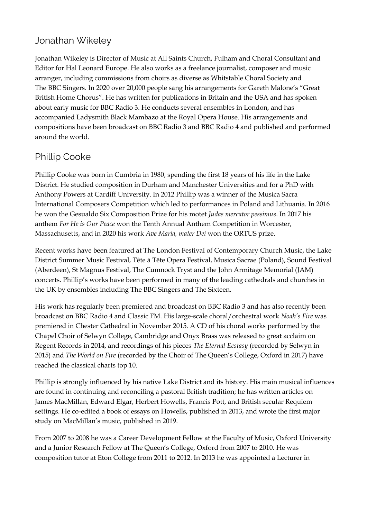# Jonathan Wikeley

Jonathan Wikeley is Director of Music at All Saints Church, Fulham and Choral Consultant and Editor for Hal Leonard Europe. He also works as a freelance journalist, composer and music arranger, including commissions from choirs as diverse as Whitstable Choral Society and The BBC Singers. In 2020 over 20,000 people sang his arrangements for Gareth Malone's "Great British Home Chorus". He has written for publications in Britain and the USA and has spoken about early music for BBC Radio 3. He conducts several ensembles in London, and has accompanied Ladysmith Black Mambazo at the Royal Opera House. His arrangements and compositions have been broadcast on BBC Radio 3 and BBC Radio 4 and published and performed around the world.

# Phillip Cooke

Phillip Cooke was born in Cumbria in 1980, spending the first 18 years of his life in the Lake District. He studied composition in Durham and Manchester Universities and for a PhD with Anthony Powers at Cardiff University. In 2012 Phillip was a winner of the Musica Sacra International Composers Competition which led to performances in Poland and Lithuania. In 2016 he won the Gesualdo Six Composition Prize for his motet *Judas mercator pessimus*. In 2017 his anthem *For He is Our Peace* won the Tenth Annual Anthem Competition in Worcester, Massachusetts, and in 2020 his work *Ave Maria, mater Dei* won the ORTUS prize.

Recent works have been featured at The London Festival of Contemporary Church Music, the Lake District Summer Music Festival, Tête à Tête Opera Festival, Musica Sacrae (Poland), Sound Festival (Aberdeen), St Magnus Festival, The Cumnock Tryst and the John Armitage Memorial (JAM) concerts. Phillip's works have been performed in many of the leading cathedrals and churches in the UK by ensembles including The BBC Singers and The Sixteen.

His work has regularly been premiered and broadcast on BBC Radio 3 and has also recently been broadcast on BBC Radio 4 and Classic FM. His large-scale choral/orchestral work *Noah's Fire* was premiered in Chester Cathedral in November 2015. A CD of his choral works performed by the Chapel Choir of Selwyn College, Cambridge and Onyx Brass was released to great acclaim on Regent Records in 2014, and recordings of his pieces *The Eternal Ecstasy* (recorded by Selwyn in 2015) and *The World on Fire* (recorded by the Choir of The Queen's College, Oxford in 2017) have reached the classical charts top 10.

Phillip is strongly influenced by his native Lake District and its history. His main musical influences are found in continuing and reconciling a pastoral British tradition; he has written articles on James MacMillan, Edward Elgar, Herbert Howells, Francis Pott, and British secular Requiem settings. He co-edited a book of essays on Howells, published in 2013, and wrote the first major study on MacMillan's music, published in 2019.

From 2007 to 2008 he was a Career Development Fellow at the Faculty of Music, Oxford University and a Junior Research Fellow at The Queen's College, Oxford from 2007 to 2010. He was composition tutor at Eton College from 2011 to 2012. In 2013 he was appointed a Lecturer in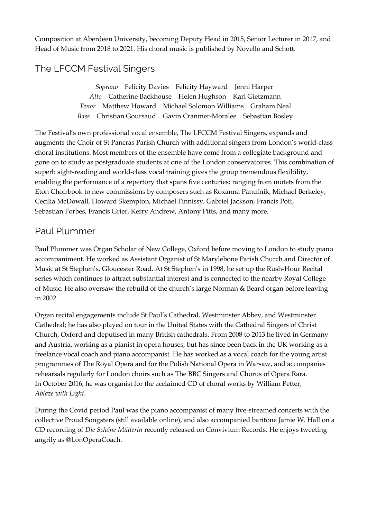Composition at Aberdeen University, becoming Deputy Head in 2015, Senior Lecturer in 2017, and Head of Music from 2018 to 2021. His choral music is published by Novello and Schott.

# The LFCCM Festival Singers

*Soprano* Felicity Davies Felicity Hayward Jenni Harper *Alto* Catherine Backhouse Helen Hughson Karl Gietzmann *Tenor* Matthew Howard Michael Solomon Williams Graham Neal *Bass* Christian Goursaud Gavin Cranmer-Moralee Sebastian Bosley

The Festival's own professional vocal ensemble, The LFCCM Festival Singers, expands and augments the Choir of St Pancras Parish Church with additional singers from London's world-class choral institutions. Most members of the ensemble have come from a collegiate background and gone on to study as postgraduate students at one of the London conservatoires. This combination of superb sight-reading and world-class vocal training gives the group tremendous flexibility, enabling the performance of a repertory that spans five centuries: ranging from motets from the Eton Choirbook to new commissions by composers such as Roxanna Panufnik, Michael Berkeley, Cecilia McDowall, Howard Skempton, Michael Finnissy, Gabriel Jackson, Francis Pott, Sebastian Forbes, Francis Grier, Kerry Andrew, Antony Pitts, and many more.

### Paul Plummer

Paul Plummer was Organ Scholar of New College, Oxford before moving to London to study piano accompaniment. He worked as Assistant Organist of St Marylebone Parish Church and Director of Music at St Stephen's, Gloucester Road. At St Stephen's in 1998, he set up the Rush-Hour Recital series which continues to attract substantial interest and is connected to the nearby Royal College of Music. He also oversaw the rebuild of the church's large Norman & Beard organ before leaving in 2002.

Organ recital engagements include St Paul's Cathedral, Westminster Abbey, and Westminster Cathedral; he has also played on tour in the United States with the Cathedral Singers of Christ Church, Oxford and deputised in many British cathedrals. From 2008 to 2013 he lived in Germany and Austria, working as a pianist in opera houses, but has since been back in the UK working as a freelance vocal coach and piano accompanist. He has worked as a vocal coach for the young artist programmes of The Royal Opera and for the Polish National Opera in Warsaw, and accompanies rehearsals regularly for London choirs such as The BBC Singers and Chorus of Opera Rara. In October 2016, he was organist for the acclaimed CD of choral works by William Petter, *Ablaze with Light*.

During the Covid period Paul was the piano accompanist of many live-streamed concerts with the collective Proud Songsters (still available online), and also accompanied baritone Jamie W. Hall on a CD recording of *Die Schöne Müllerin* recently released on Convivium Records. He enjoys tweeting angrily as @LonOperaCoach.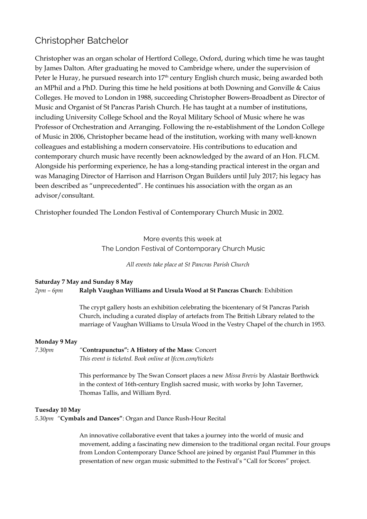## Christopher Batchelor

Christopher was an organ scholar of Hertford College, Oxford, during which time he was taught by James Dalton. After graduating he moved to Cambridge where, under the supervision of Peter le Huray, he pursued research into  $17<sup>th</sup>$  century English church music, being awarded both an MPhil and a PhD. During this time he held positions at both Downing and Gonville & Caius Colleges. He moved to London in 1988, succeeding Christopher Bowers-Broadbent as Director of Music and Organist of St Pancras Parish Church. He has taught at a number of institutions, including University College School and the Royal Military School of Music where he was Professor of Orchestration and Arranging. Following the re-establishment of the London College of Music in 2006, Christopher became head of the institution, working with many well-known colleagues and establishing a modern conservatoire. His contributions to education and contemporary church music have recently been acknowledged by the award of an Hon. FLCM. Alongside his performing experience, he has a long-standing practical interest in the organ and was Managing Director of Harrison and Harrison Organ Builders until July 2017; his legacy has been described as "unprecedented". He continues his association with the organ as an advisor/consultant.

Christopher founded The London Festival of Contemporary Church Music in 2002.

More events this week at The London Festival of Contemporary Church Music

*All events take place at St Pancras Parish Church*

#### **Saturday 7 May and Sunday 8 May** *2pm – 6pm* **Ralph Vaughan Williams and Ursula Wood at St Pancras Church**: Exhibition

The crypt gallery hosts an exhibition celebrating the bicentenary of St Pancras Parish Church, including a curated display of artefacts from The British Library related to the marriage of Vaughan Williams to Ursula Wood in the Vestry Chapel of the church in 1953.

**Monday 9 May**

*7.30pm "***Contrapunctus": A History of the Mass**: Concert

*This event is ticketed. Book online at lfccm.com/tickets*

This performance by The Swan Consort places a new *Missa Brevis* by Alastair Borthwick in the context of 16th-century English sacred music, with works by John Taverner, Thomas Tallis, and William Byrd.

#### **Tuesday 10 May**

*5.30pm "***Cymbals and Dances"**: Organ and Dance Rush-Hour Recital

An innovative collaborative event that takes a journey into the world of music and movement, adding a fascinating new dimension to the traditional organ recital. Four groups from London Contemporary Dance School are joined by organist Paul Plummer in this presentation of new organ music submitted to the Festival's "Call for Scores" project.